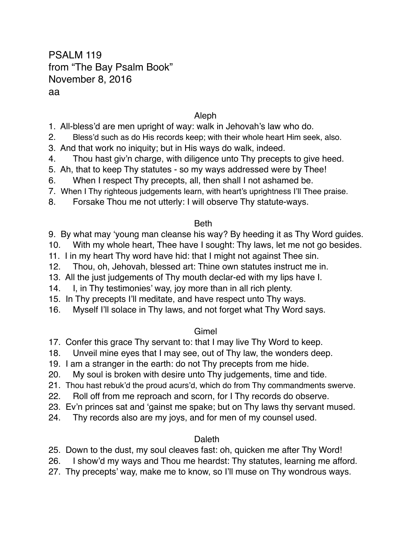# PSALM 119 from "The Bay Psalm Book" November 8, 2016 aa

### Aleph

- 1. All-bless'd are men upright of way: walk in Jehovah's law who do.
- 2. Bless'd such as do His records keep; with their whole heart Him seek, also.
- 3. And that work no iniquity; but in His ways do walk, indeed.
- 4. Thou hast giv'n charge, with diligence unto Thy precepts to give heed.
- 5. Ah, that to keep Thy statutes so my ways addressed were by Thee!
- 6. When I respect Thy precepts, all, then shall I not ashamed be.
- 7. When I Thy righteous judgements learn, with heart's uprightness I'll Thee praise.
- 8. Forsake Thou me not utterly: I will observe Thy statute-ways.

### Beth

- 9. By what may 'young man cleanse his way? By heeding it as Thy Word guides.
- 10. With my whole heart, Thee have I sought: Thy laws, let me not go besides.
- 11. I in my heart Thy word have hid: that I might not against Thee sin.
- 12. Thou, oh, Jehovah, blessed art: Thine own statutes instruct me in.
- 13. All the just judgements of Thy mouth declar-ed with my lips have I.
- 14. I, in Thy testimonies' way, joy more than in all rich plenty.
- 15. In Thy precepts I'll meditate, and have respect unto Thy ways.
- 16. Myself I'll solace in Thy laws, and not forget what Thy Word says.

# Gimel

- 17. Confer this grace Thy servant to: that I may live Thy Word to keep.
- 18. Unveil mine eyes that I may see, out of Thy law, the wonders deep.
- 19. I am a stranger in the earth: do not Thy precepts from me hide.
- 20. My soul is broken with desire unto Thy judgements, time and tide.
- 21. Thou hast rebuk'd the proud acurs'd, which do from Thy commandments swerve.
- 22. Roll off from me reproach and scorn, for I Thy records do observe.
- 23. Ev'n princes sat and 'gainst me spake; but on Thy laws thy servant mused.
- 24. Thy records also are my joys, and for men of my counsel used.

# **Daleth**

25. Down to the dust, my soul cleaves fast: oh, quicken me after Thy Word!

- 26. I show'd my ways and Thou me heardst: Thy statutes, learning me afford.
- 27. Thy precepts' way, make me to know, so I'll muse on Thy wondrous ways.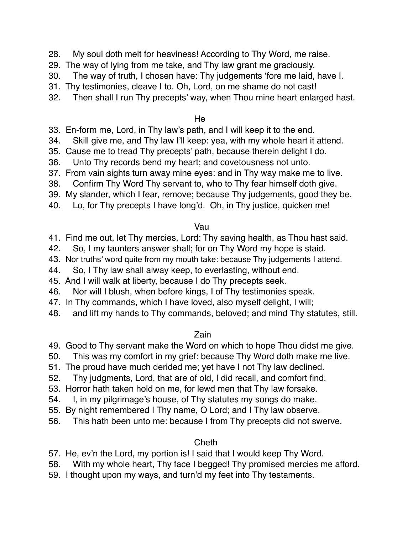- 28. My soul doth melt for heaviness! According to Thy Word, me raise.
- 29. The way of lying from me take, and Thy law grant me graciously.
- 30. The way of truth, I chosen have: Thy judgements 'fore me laid, have I.
- 31. Thy testimonies, cleave I to. Oh, Lord, on me shame do not cast!
- 32. Then shall I run Thy precepts' way, when Thou mine heart enlarged hast.

He

- 33. En-form me, Lord, in Thy law's path, and I will keep it to the end.
- 34. Skill give me, and Thy law I'll keep: yea, with my whole heart it attend.
- 35. Cause me to tread Thy precepts' path, because therein delight I do.
- 36. Unto Thy records bend my heart; and covetousness not unto.
- 37. From vain sights turn away mine eyes: and in Thy way make me to live.
- 38. Confirm Thy Word Thy servant to, who to Thy fear himself doth give.
- 39. My slander, which I fear, remove; because Thy judgements, good they be.
- 40. Lo, for Thy precepts I have long'd. Oh, in Thy justice, quicken me!

Vau

- 41. Find me out, let Thy mercies, Lord: Thy saving health, as Thou hast said.
- 42. So, I my taunters answer shall; for on Thy Word my hope is staid.
- 43. Nor truths' word quite from my mouth take: because Thy judgements I attend.
- 44. So, I Thy law shall alway keep, to everlasting, without end.
- 45. And I will walk at liberty, because I do Thy precepts seek.
- 46. Nor will I blush, when before kings, I of Thy testimonies speak.
- 47. In Thy commands, which I have loved, also myself delight, I will;
- 48. and lift my hands to Thy commands, beloved; and mind Thy statutes, still.

### Zain

- 49. Good to Thy servant make the Word on which to hope Thou didst me give.
- 50. This was my comfort in my grief: because Thy Word doth make me live.
- 51. The proud have much derided me; yet have I not Thy law declined.
- 52. Thy judgments, Lord, that are of old, I did recall, and comfort find.
- 53. Horror hath taken hold on me, for lewd men that Thy law forsake.
- 54. I, in my pilgrimage's house, of Thy statutes my songs do make.
- 55. By night remembered I Thy name, O Lord; and I Thy law observe.
- 56. This hath been unto me: because I from Thy precepts did not swerve.

# **Cheth**

- 57. He, ev'n the Lord, my portion is! I said that I would keep Thy Word.
- 58. With my whole heart, Thy face I begged! Thy promised mercies me afford.
- 59. I thought upon my ways, and turn'd my feet into Thy testaments.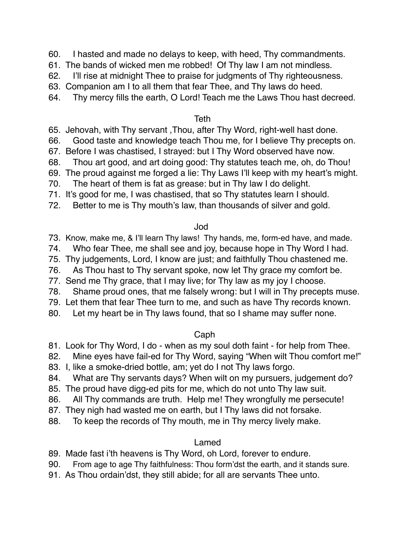- 60. I hasted and made no delays to keep, with heed, Thy commandments.
- 61. The bands of wicked men me robbed! Of Thy law I am not mindless.
- 62. I'll rise at midnight Thee to praise for judgments of Thy righteousness.
- 63. Companion am I to all them that fear Thee, and Thy laws do heed.
- 64. Thy mercy fills the earth, O Lord! Teach me the Laws Thou hast decreed.

#### **Teth**

- 65. Jehovah, with Thy servant ,Thou, after Thy Word, right-well hast done.
- 66. Good taste and knowledge teach Thou me, for I believe Thy precepts on.
- 67. Before I was chastised, I strayed: but I Thy Word observed have now.
- 68. Thou art good, and art doing good: Thy statutes teach me, oh, do Thou!
- 69. The proud against me forged a lie: Thy Laws I'll keep with my heart's might.
- 70. The heart of them is fat as grease: but in Thy law I do delight.
- 71. It's good for me, I was chastised, that so Thy statutes learn I should.
- 72. Better to me is Thy mouth's law, than thousands of silver and gold.

### Jod

- 73. Know, make me, & I'll learn Thy laws! Thy hands, me, form-ed have, and made.
- 74. Who fear Thee, me shall see and joy, because hope in Thy Word I had.
- 75. Thy judgements, Lord, I know are just; and faithfully Thou chastened me.
- 76. As Thou hast to Thy servant spoke, now let Thy grace my comfort be.
- 77. Send me Thy grace, that I may live; for Thy law as my joy I choose.
- 78. Shame proud ones, that me falsely wrong: but I will in Thy precepts muse.
- 79. Let them that fear Thee turn to me, and such as have Thy records known.
- 80. Let my heart be in Thy laws found, that so I shame may suffer none.

### Caph

- 81. Look for Thy Word, I do when as my soul doth faint for help from Thee.
- 82. Mine eyes have fail-ed for Thy Word, saying "When wilt Thou comfort me!"
- 83. I, like a smoke-dried bottle, am; yet do I not Thy laws forgo.
- 84. What are Thy servants days? When wilt on my pursuers, judgement do?
- 85. The proud have digg-ed pits for me, which do not unto Thy law suit.
- 86. All Thy commands are truth. Help me! They wrongfully me persecute!
- 87. They nigh had wasted me on earth, but I Thy laws did not forsake.
- 88. To keep the records of Thy mouth, me in Thy mercy lively make.

# Lamed

89. Made fast i'th heavens is Thy Word, oh Lord, forever to endure.

- 90. From age to age Thy faithfulness: Thou form'dst the earth, and it stands sure.
- 91. As Thou ordain'dst, they still abide; for all are servants Thee unto.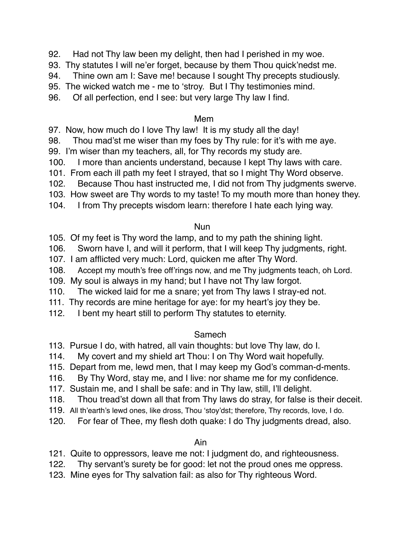- 92. Had not Thy law been my delight, then had I perished in my woe.
- 93. Thy statutes I will ne'er forget, because by them Thou quick'nedst me.
- 94. Thine own am I: Save me! because I sought Thy precepts studiously.
- 95. The wicked watch me me to 'stroy. But I Thy testimonies mind.
- 96. Of all perfection, end I see: but very large Thy law I find.

#### Mem

- 97. Now, how much do I love Thy law! It is my study all the day!
- 98. Thou mad'st me wiser than my foes by Thy rule: for it's with me aye.
- 99. I'm wiser than my teachers, all, for Thy records my study are.
- 100. I more than ancients understand, because I kept Thy laws with care.
- 101. From each ill path my feet I strayed, that so I might Thy Word observe.
- 102. Because Thou hast instructed me, I did not from Thy judgments swerve.
- 103. How sweet are Thy words to my taste! To my mouth more than honey they.
- 104. I from Thy precepts wisdom learn: therefore I hate each lying way.

### Nun

- 105. Of my feet is Thy word the lamp, and to my path the shining light.
- 106. Sworn have I, and will it perform, that I will keep Thy judgments, right.
- 107. I am afflicted very much: Lord, quicken me after Thy Word.
- 108. Accept my mouth's free off'rings now, and me Thy judgments teach, oh Lord.
- 109. My soul is always in my hand; but I have not Thy law forgot.
- 110. The wicked laid for me a snare; yet from Thy laws I stray-ed not.
- 111. Thy records are mine heritage for aye: for my heart's joy they be.
- 112. I bent my heart still to perform Thy statutes to eternity.

# Samech

- 113. Pursue I do, with hatred, all vain thoughts: but love Thy law, do I.
- 114. My covert and my shield art Thou: I on Thy Word wait hopefully.
- 115. Depart from me, lewd men, that I may keep my God's comman-d-ments.
- 116. By Thy Word, stay me, and I live: nor shame me for my confidence.
- 117. Sustain me, and I shall be safe: and in Thy law, still, I'll delight.
- 118. Thou tread'st down all that from Thy laws do stray, for false is their deceit.
- 119. All th'earth's lewd ones, like dross, Thou 'stoy'dst; therefore, Thy records, love, I do.
- 120. For fear of Thee, my flesh doth quake: I do Thy judgments dread, also.

# Ain

- 121. Quite to oppressors, leave me not: I judgment do, and righteousness.
- 122. Thy servant's surety be for good: let not the proud ones me oppress.
- 123. Mine eyes for Thy salvation fail: as also for Thy righteous Word.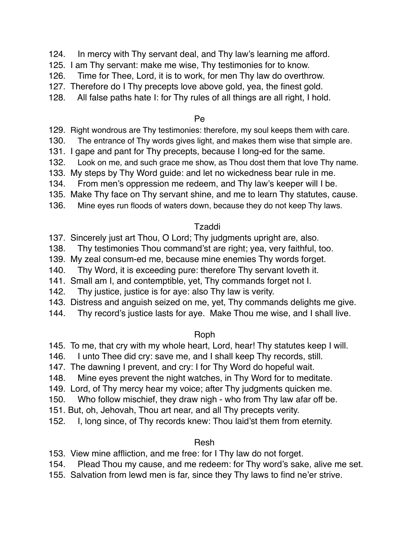- 124. In mercy with Thy servant deal, and Thy law's learning me afford.
- 125. I am Thy servant: make me wise, Thy testimonies for to know.
- 126. Time for Thee, Lord, it is to work, for men Thy law do overthrow.
- 127. Therefore do I Thy precepts love above gold, yea, the finest gold.
- 128. All false paths hate I: for Thy rules of all things are all right, I hold.

#### Pe

- 129. Right wondrous are Thy testimonies: therefore, my soul keeps them with care.
- 130. The entrance of Thy words gives light, and makes them wise that simple are.
- 131. I gape and pant for Thy precepts, because I long-ed for the same.
- 132. Look on me, and such grace me show, as Thou dost them that love Thy name.
- 133. My steps by Thy Word guide: and let no wickedness bear rule in me.
- 134. From men's oppression me redeem, and Thy law's keeper will I be.
- 135. Make Thy face on Thy servant shine, and me to learn Thy statutes, cause.
- 136. Mine eyes run floods of waters down, because they do not keep Thy laws.

### Tzaddi

- 137. Sincerely just art Thou, O Lord; Thy judgments upright are, also.
- 138. Thy testimonies Thou command'st are right; yea, very faithful, too.
- 139. My zeal consum-ed me, because mine enemies Thy words forget.
- 140. Thy Word, it is exceeding pure: therefore Thy servant loveth it.
- 141. Small am I, and contemptible, yet, Thy commands forget not I.
- 142. Thy justice, justice is for aye: also Thy law is verity.
- 143. Distress and anguish seized on me, yet, Thy commands delights me give.
- 144. Thy record's justice lasts for aye. Make Thou me wise, and I shall live.

# Roph

- 145. To me, that cry with my whole heart, Lord, hear! Thy statutes keep I will.
- 146. I unto Thee did cry: save me, and I shall keep Thy records, still.
- 147. The dawning I prevent, and cry: I for Thy Word do hopeful wait.
- 148. Mine eyes prevent the night watches, in Thy Word for to meditate.
- 149. Lord, of Thy mercy hear my voice; after Thy judgments quicken me.
- 150. Who follow mischief, they draw nigh who from Thy law afar off be.
- 151. But, oh, Jehovah, Thou art near, and all Thy precepts verity.
- 152. I, long since, of Thy records knew: Thou laid'st them from eternity.

### Resh

153. View mine affliction, and me free: for I Thy law do not forget.

- 154. Plead Thou my cause, and me redeem: for Thy word's sake, alive me set.
- 155. Salvation from lewd men is far, since they Thy laws to find ne'er strive.